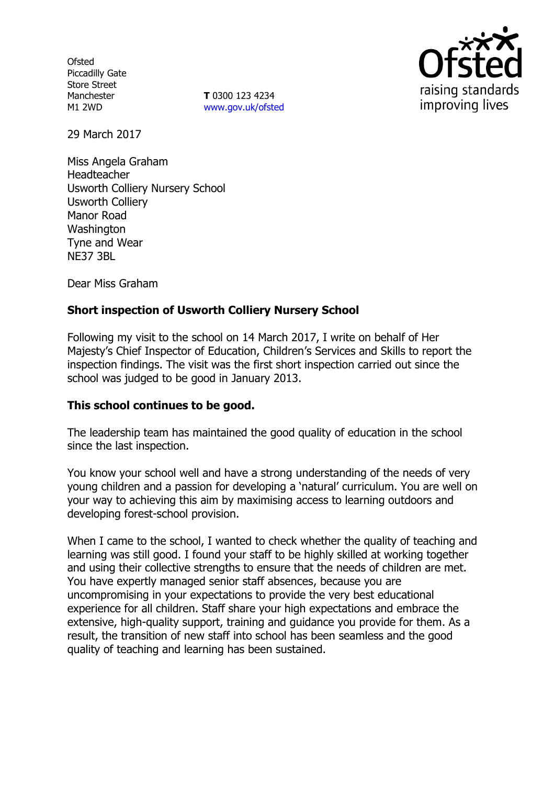**Ofsted** Piccadilly Gate Store Street Manchester M1 2WD

**T** 0300 123 4234 [www.gov.uk/ofsted](http://www.gov.uk/ofsted)



29 March 2017

Miss Angela Graham Headteacher Usworth Colliery Nursery School Usworth Colliery Manor Road Washington Tyne and Wear NE37 3BL

Dear Miss Graham

# **Short inspection of Usworth Colliery Nursery School**

Following my visit to the school on 14 March 2017, I write on behalf of Her Majesty's Chief Inspector of Education, Children's Services and Skills to report the inspection findings. The visit was the first short inspection carried out since the school was judged to be good in January 2013.

### **This school continues to be good.**

The leadership team has maintained the good quality of education in the school since the last inspection.

You know your school well and have a strong understanding of the needs of very young children and a passion for developing a 'natural' curriculum. You are well on your way to achieving this aim by maximising access to learning outdoors and developing forest-school provision.

When I came to the school, I wanted to check whether the quality of teaching and learning was still good. I found your staff to be highly skilled at working together and using their collective strengths to ensure that the needs of children are met. You have expertly managed senior staff absences, because you are uncompromising in your expectations to provide the very best educational experience for all children. Staff share your high expectations and embrace the extensive, high-quality support, training and guidance you provide for them. As a result, the transition of new staff into school has been seamless and the good quality of teaching and learning has been sustained.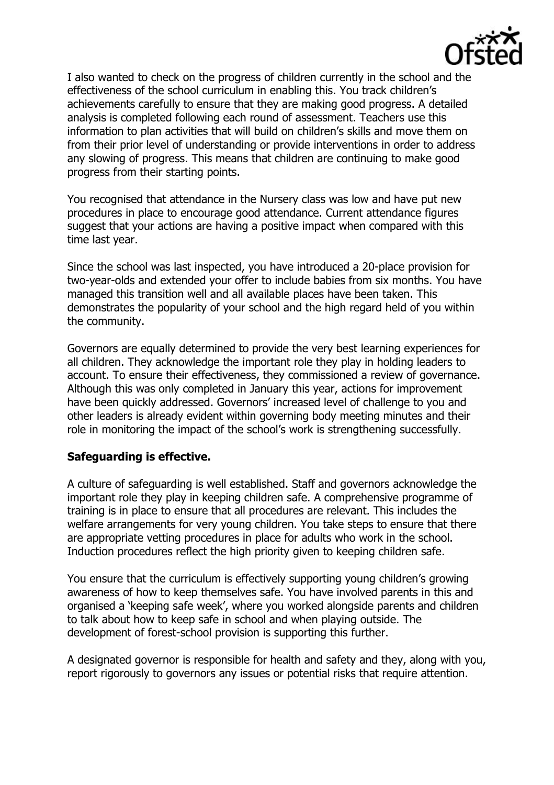

I also wanted to check on the progress of children currently in the school and the effectiveness of the school curriculum in enabling this. You track children's achievements carefully to ensure that they are making good progress. A detailed analysis is completed following each round of assessment. Teachers use this information to plan activities that will build on children's skills and move them on from their prior level of understanding or provide interventions in order to address any slowing of progress. This means that children are continuing to make good progress from their starting points.

You recognised that attendance in the Nursery class was low and have put new procedures in place to encourage good attendance. Current attendance figures suggest that your actions are having a positive impact when compared with this time last year.

Since the school was last inspected, you have introduced a 20-place provision for two-year-olds and extended your offer to include babies from six months. You have managed this transition well and all available places have been taken. This demonstrates the popularity of your school and the high regard held of you within the community.

Governors are equally determined to provide the very best learning experiences for all children. They acknowledge the important role they play in holding leaders to account. To ensure their effectiveness, they commissioned a review of governance. Although this was only completed in January this year, actions for improvement have been quickly addressed. Governors' increased level of challenge to you and other leaders is already evident within governing body meeting minutes and their role in monitoring the impact of the school's work is strengthening successfully.

### **Safeguarding is effective.**

A culture of safeguarding is well established. Staff and governors acknowledge the important role they play in keeping children safe. A comprehensive programme of training is in place to ensure that all procedures are relevant. This includes the welfare arrangements for very young children. You take steps to ensure that there are appropriate vetting procedures in place for adults who work in the school. Induction procedures reflect the high priority given to keeping children safe.

You ensure that the curriculum is effectively supporting young children's growing awareness of how to keep themselves safe. You have involved parents in this and organised a 'keeping safe week', where you worked alongside parents and children to talk about how to keep safe in school and when playing outside. The development of forest-school provision is supporting this further.

A designated governor is responsible for health and safety and they, along with you, report rigorously to governors any issues or potential risks that require attention.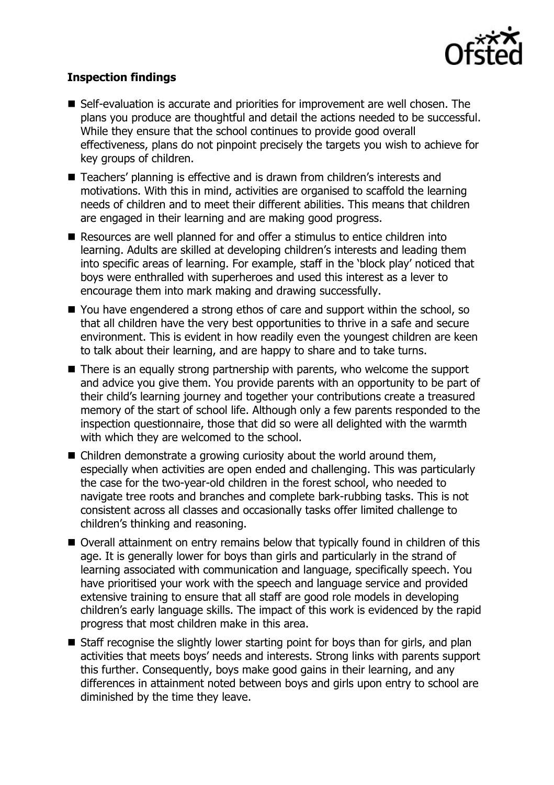

# **Inspection findings**

- Self-evaluation is accurate and priorities for improvement are well chosen. The plans you produce are thoughtful and detail the actions needed to be successful. While they ensure that the school continues to provide good overall effectiveness, plans do not pinpoint precisely the targets you wish to achieve for key groups of children.
- Teachers' planning is effective and is drawn from children's interests and motivations. With this in mind, activities are organised to scaffold the learning needs of children and to meet their different abilities. This means that children are engaged in their learning and are making good progress.
- Resources are well planned for and offer a stimulus to entice children into learning. Adults are skilled at developing children's interests and leading them into specific areas of learning. For example, staff in the 'block play' noticed that boys were enthralled with superheroes and used this interest as a lever to encourage them into mark making and drawing successfully.
- You have engendered a strong ethos of care and support within the school, so that all children have the very best opportunities to thrive in a safe and secure environment. This is evident in how readily even the youngest children are keen to talk about their learning, and are happy to share and to take turns.
- There is an equally strong partnership with parents, who welcome the support and advice you give them. You provide parents with an opportunity to be part of their child's learning journey and together your contributions create a treasured memory of the start of school life. Although only a few parents responded to the inspection questionnaire, those that did so were all delighted with the warmth with which they are welcomed to the school.
- Children demonstrate a growing curiosity about the world around them, especially when activities are open ended and challenging. This was particularly the case for the two-year-old children in the forest school, who needed to navigate tree roots and branches and complete bark-rubbing tasks. This is not consistent across all classes and occasionally tasks offer limited challenge to children's thinking and reasoning.
- Overall attainment on entry remains below that typically found in children of this age. It is generally lower for boys than girls and particularly in the strand of learning associated with communication and language, specifically speech. You have prioritised your work with the speech and language service and provided extensive training to ensure that all staff are good role models in developing children's early language skills. The impact of this work is evidenced by the rapid progress that most children make in this area.
- Staff recognise the slightly lower starting point for boys than for girls, and plan activities that meets boys' needs and interests. Strong links with parents support this further. Consequently, boys make good gains in their learning, and any differences in attainment noted between boys and girls upon entry to school are diminished by the time they leave.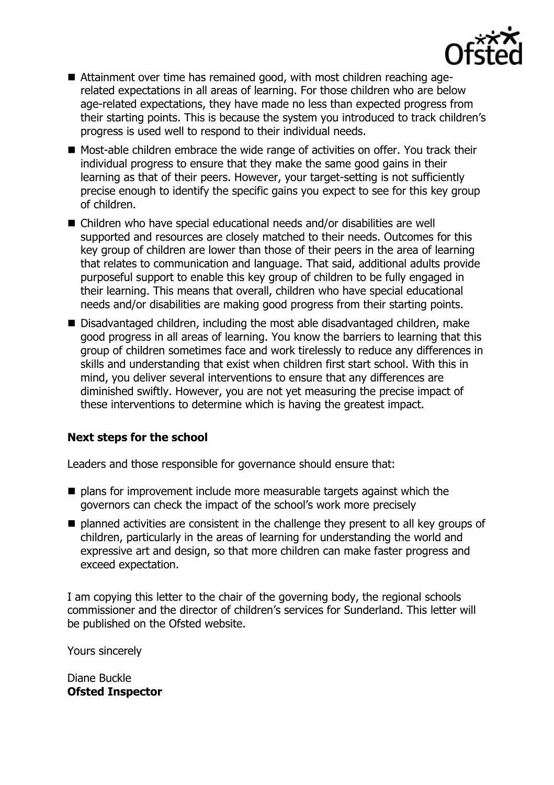

- Attainment over time has remained good, with most children reaching agerelated expectations in all areas of learning. For those children who are below age-related expectations, they have made no less than expected progress from their starting points. This is because the system you introduced to track children's progress is used well to respond to their individual needs.
- Most-able children embrace the wide range of activities on offer. You track their individual progress to ensure that they make the same good gains in their learning as that of their peers. However, your target-setting is not sufficiently precise enough to identify the specific gains you expect to see for this key group of children.
- Children who have special educational needs and/or disabilities are well supported and resources are closely matched to their needs. Outcomes for this key group of children are lower than those of their peers in the area of learning that relates to communication and language. That said, additional adults provide purposeful support to enable this key group of children to be fully engaged in their learning. This means that overall, children who have special educational needs and/or disabilities are making good progress from their starting points.
- Disadvantaged children, including the most able disadvantaged children, make good progress in all areas of learning. You know the barriers to learning that this group of children sometimes face and work tirelessly to reduce any differences in skills and understanding that exist when children first start school. With this in mind, you deliver several interventions to ensure that any differences are diminished swiftly. However, you are not yet measuring the precise impact of these interventions to determine which is having the greatest impact.

# **Next steps for the school**

Leaders and those responsible for governance should ensure that:

- $\blacksquare$  plans for improvement include more measurable targets against which the governors can check the impact of the school's work more precisely
- $\blacksquare$  planned activities are consistent in the challenge they present to all key groups of children, particularly in the areas of learning for understanding the world and expressive art and design, so that more children can make faster progress and exceed expectation.

I am copying this letter to the chair of the governing body, the regional schools commissioner and the director of children's services for Sunderland. This letter will be published on the Ofsted website.

Yours sincerely

Diane Buckle **Ofsted Inspector**